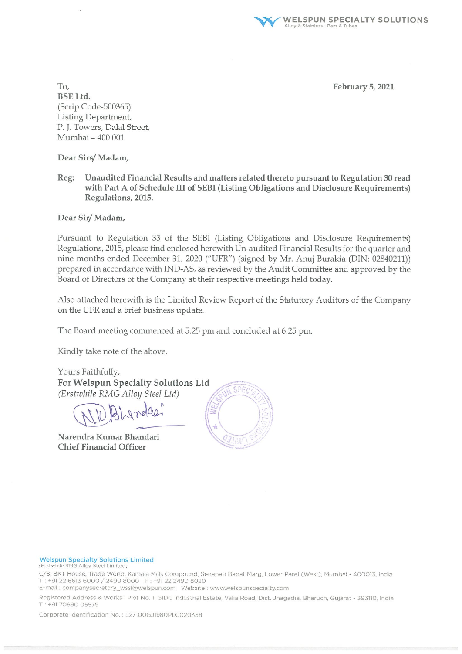**WELSPUN SPECIALTY SOLUTIONS** Alloy & Stainless | Bars & Tub

February 5, 2021

To, **BSE Ltd.** (Scrip Code-500365) Listing Department, P. J. Towers, Dalal Street, Mumbai - 400 001

Dear Sirs/Madam,

Unaudited Financial Results and matters related thereto pursuant to Regulation 30 read Reg: with Part A of Schedule III of SEBI (Listing Obligations and Disclosure Requirements) Regulations, 2015.

Dear Sir/Madam,

Pursuant to Regulation 33 of the SEBI (Listing Obligations and Disclosure Requirements) Regulations, 2015, please find enclosed herewith Un-audited Financial Results for the quarter and nine months ended December 31, 2020 ("UFR") (signed by Mr. Anuj Burakia (DIN: 02840211)) prepared in accordance with IND-AS, as reviewed by the Audit Committee and approved by the Board of Directors of the Company at their respective meetings held today.

Also attached herewith is the Limited Review Report of the Statutory Auditors of the Company on the UFR and a brief business update.

The Board meeting commenced at 5.25 pm and concluded at 6:25 pm.

Kindly take note of the above.

Yours Faithfully, For Welspun Specialty Solutions Ltd (Erstwhile RMG Alloy Steel Ltd)

Blandas

Narendra Kumar Bhandari **Chief Financial Officer** 



#### **Welspun Specialty Solutions Limited**

(Erstwhile RMG Alloy Steel Limited)

C/8, BKT House, Trade World, Kamala Mills Compound, Senapati Bapat Marg, Lower Parel (West), Mumbai - 400013, India T: +91 22 6613 6000 / 2490 8000 F: +91 22 2490 8020

Registered Address & Works : Plot No. 1, GIDC Industrial Estate, Valia Road, Dist. Jhagadia, Bharuch, Gujarat - 393110, India T: +9170690 05579

Corporate Identification No.: L27100GJ1980PLC020358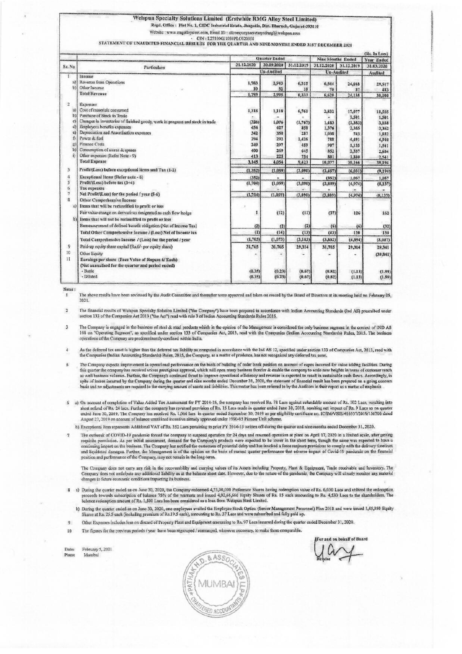## Welspun Specialty Solutions Limited (Erstwhile RMG Alloy Steel Limited)

Rend. Office: Plot No. 1, GIDC Industrial Estate, Jhagadia, Dist. Bharuch, Gujarat-393110

Website : www.ringalloysteel.com, Email ID : allcompanysecretaryofringl@welspan.com

CIN: L27100GJ1980PLC020358 STATEMENT OF UNAUDITED FINANCIAL RESULTS FOR THE QUARTER AND NINE MONTHS ENDED JIST DECEMBER 2020

|                         |                                                                               | <b>Ouarter Ended</b> |              |              | <b>Nine Months Ended</b> |                 | (Rs. In Lacs)<br>Year Ended |
|-------------------------|-------------------------------------------------------------------------------|----------------------|--------------|--------------|--------------------------|-----------------|-----------------------------|
| Sr. No                  | Particulars                                                                   | 31.12.2020           | 30.09,2020   | 31.12.2019   | 31.12.2020               | 31.12.2019      | 31.03.2020                  |
|                         |                                                                               |                      | Un-Audited   |              | Un-Audited               |                 | Andited                     |
| r<br>a)                 | Income<br>Rovenue from Operations                                             | 1,783                | 2,943        | 6,315        |                          |                 |                             |
| b3                      | Other Income                                                                  | 10                   | 52           | 18           | 6,544<br>76              | 24,048<br>87    | 29,517                      |
|                         | <b>Total Revenue</b>                                                          | 1,793                | 2.995        | 6,333        | 6,620                    | 24,135          | 483<br>30,000               |
| $\overline{2}$          | Expenses                                                                      |                      |              |              |                          |                 |                             |
| a)                      | Cost of materials consumed                                                    | 1,318                | 1,118        | 6,761        | 2,832                    | 17,077          | 18,555                      |
| b)                      | Purchase of Stock in Trade                                                    |                      |              |              |                          | 1,501           | 1,501                       |
| c)                      | Changes in inventories of finished goods, work in progress and stock in trade | (326)                | 1.076        | (1,767)      | 1,483                    | (1, 353)        | 3,038                       |
| dì                      | Employees benefits expenses                                                   | 454                  | 427          | 858          | 1,376                    | 2,355           | 3,362                       |
| e)                      | Depreciation and Amortisation expenses                                        | 342                  | 350          | 287          | 1,038                    | 743             | 1,032                       |
| Ð                       | Power & fuel                                                                  | 294                  | 292          | 1,426        | 788                      | 4,491           | 4,940                       |
| g)                      | <b>Finance Costs</b>                                                          | 249                  | 297          | 459          | 907                      | 1,135           | 1,541                       |
| h)<br>ü                 | Consumption of stores & spares                                                | 400                  | 269          | 645          | 852                      | 2,337           | 2,684                       |
|                         | Other expenses (Refer Note - 9)<br><b>Total Expense</b>                       | 413<br>3,145         | 225<br>4.054 | 754<br>9.423 | 801<br>10,077            | 1,880<br>30,166 | 2,541<br>39,194             |
|                         |                                                                               |                      |              |              |                          |                 |                             |
| $\overline{\mathbf{3}}$ | Profit/(Luss) before exceptional items and Tax (1-2)                          | (1, 352)             | (1,059)      | (3,090)      | (3,457)                  | (6, 031)        | (9, 194)                    |
| $\frac{1}{2}$           | Exceptional Items {Refer note - 6}                                            | (352)                |              |              | (352)                    | 1,057           | 1.057                       |
| 5                       | Profit/(Loss) before tax (3+4)                                                | (1, 704)             | (1,059)      | (3,090)      | (3,809)                  | (4,974)         | (8,137)                     |
| 6<br>$\overline{7}$     | <b>Tax expenses</b><br>Net Profit/(Loss) for the period / year (5-6)          |                      |              |              |                          |                 |                             |
| $\mathbb{R}$            | Other Comprehensive Income                                                    | (1, 704)             | (1,059)      | (3.090)      | (3, 809)                 | (4,974)         | (8, 137)                    |
| a)                      | Items that will be reclassified to profit or loss                             |                      |              |              |                          |                 |                             |
|                         | Fair value change on derivatives designated as cash flow hedge                | 1                    | (12)         | (11)         | (37)                     | 126             | 162                         |
| b)                      | Items that will not be reclassified to profit or loss                         |                      |              |              |                          |                 |                             |
|                         | Remeasurement of defined benefit obligation (Net of Income Tax)               | (2)                  | (2)          | (2)          | (6)                      |                 | (32)                        |
|                         | Total Other Comprehensive Income / (Loss) Net of Income tax                   | (1)                  | (14)         | (13)         | (43)                     | (6)<br>120      | 130                         |
|                         | Total Comprehensive Income / (Loss) for the period / year                     | (1,705)              | (1,073)      | (3, 103)     | (3,852)                  | (4, 854)        | (8,007)                     |
|                         |                                                                               |                      |              |              |                          |                 |                             |
| 9                       | Paid-up equity share capital (Rs.6/- per equity share)                        | 31,765               | 31,765       | 29,314       | 31,765                   | 29,314          | 29.341                      |
| 10                      | Other Equity                                                                  |                      |              |              |                          |                 | (39, 841)                   |
| 11                      | Earnings per share (Face Value of Rupees 6/ Each)                             |                      |              |              |                          |                 |                             |
|                         | (Not annualised for the quarter and period ended)                             |                      |              |              |                          |                 |                             |
|                         | - Basic<br>- Diluted                                                          | (0.35)<br>(0.35)     | (0.23)       | (0.67)       | (0.82)                   | (1.13)          | (1.99)                      |
|                         |                                                                               |                      | (0.23)       | (0.67)       | (0.82)                   | (1.13)          | (1.99)                      |

Natur -

The above results have been reviewed by the Audit Committee and thereafter were approved and taken on record by the Board of Directors at its meeting held on February 05.  $2021$ 

The financial results of Welspun Specialty Solution Limited ("the Company") have been prepared in accordance with Indian Accounting Standards (Ind AS) prescribed under section 133 of the Companies Act 2013 ("the Act") read  $\overline{a}$ 

The Company is engaged in the business of steel & steel products which in the opinion of the Management is considered the only business segment in the context of IND AS<br>108 on "Operating Segment", as specified under sectio  $\overline{\mathbf{3}}$ operations of the Company are predonminantly confined within India.

- As the deferred tax asset is higher than the deferred tax liability as computed in accordance with the Ind AS 12, specified under section 133 of Companies Act, 2013, read with<br>the Companies (Indian Accounting Standards) Ru  $\mathbf{A}$
- The Company expects improvement in operational performance on the basis of building of order book position on account of capex incurred for value adding facilities. During  $\ddot{\mathbf{5}}$ the company has received virous presidents approval, which will open many business fronter & enable the company to scale new heights in terms of extremer reach<br>as well business volumes. Further, the Company's continued thr spite of losses incurred by the Company during the quarter and nine months ended December 31, 2020, the statement of financial result has been prepared on a going concern<br>basis and no adjustments are required to the carryi
- 6 a) On account of completion of Value Added Tax Assessment for FY 2014-15, the company has received Rs. 78 Lacs against refundable amount of Rs. 102 Lacs, resulting into on account of two Plances in the company has reversed provision of Rs. 15 Lates made in quarter ended June 30, 2018, resulting net impact of Rs. 9 Lates as on quarter<br>short refund of Rs. 24 lates. Further the company has r

b) Exceptional Item represents Additional VAT of Rs. 352 Lacs pertaining to prior FY 2014-15 written off during the quarter and nine months ended December 31, 2020.

The outbreak of COVID-19 pandemic forced the company to suspend operation for 24 days and resumed operation at plant on April 17, 2020 in a limited scale, after getting  $\sigma$ The contraction. As per initial assessment, demand for the Company's products were expected to be lower in the short term, though the same was expected to have a requisite permission. As per initial assessment, demand for position and performance of the Company, may not remain in the long-term.

The Company does not carry any risk in the recoverability and carrying values of its Assets including Property, Plant & Equipment, Trade receivable and Inventory. The<br>Company does not anticipate any additional liability as changes to future economic conditions impacting its business.

- 8 a) During the quarter ended as on June 30, 2020, the Company redeemed 4,73,00,000 Preference Shares having redemption value of Rs. 6,030 Lacs and utilized the redemption proceeds towards subscription of balance 75% of the warrants and issued 4,02,66,666 Equity Shares of Rs. 15 each amounting to Rs. 4,530 Lacs and unless the readmpton balance redemption amount of Rs. 1,500 Lacs has been con
- b) During the quatter ended as on June 30, 2020, one employees availed the Employee Stock Option (Senior Management Personnel) Plan 2018 and were issued 1,45,950 Equity<br>Shares at Rs. 25.5 each (including premium of Rs.19.5
- Other Expenses includes less on diseard of Property Plant and Equipment amounting to Rs, 97 Lacs incurred during the quarter ended December 31, 2020.  $\mathbf{q}$
- The figures for the previous periods / year have been regrouped / rearranged, wherever necessary, to make them comparable.  $10$

Date: February 5, 2021 Place: Mumbai

 $8.8s<sub>o</sub>$ ö MUMBA **FRED ACCOUNT** 

or and on behalf of Board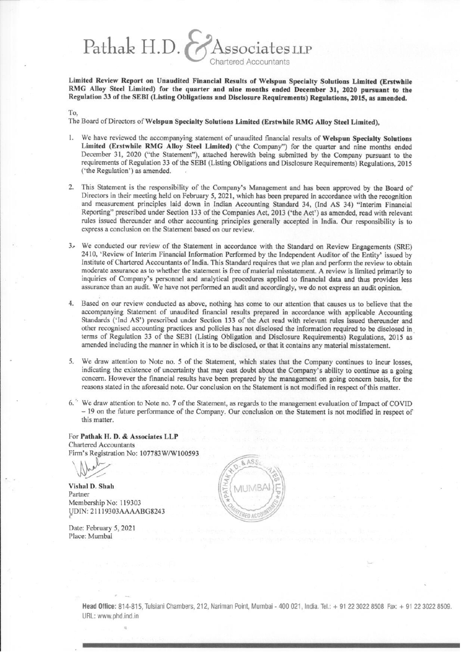Pathak H.D.  $\Lambda$ ssociates LLP **Chartered Accountants** 

Limited Review Report on Unaudited Financial Results of Welspun Specialty Solutions Limited (Erstwhile RMG Alloy Steel Limited) for the quarter and nine months ended December 31, 2020 pursuant to the Regulation 33 of the SEBI (Listing Obligations and Disclosure Requirements) Regulations, 2015, as amended.

To.

The Board of Directors of Welspun Specialty Solutions Limited (Erstwhile RMG Alloy Steel Limited).

- We have reviewed the accompanying statement of unaudited financial results of Welspun Specialty Solutions Limited (Erstwhile RMG Alloy Steel Limited) ("the Company") for the quarter and nine months ended December 31, 2020 ("the Statement"), attached herewith being submitted by the Company pursuant to the requirements of Regulation 33 of the SEBI (Listing Obligations and Disclosure Requirements) Regulations, 2015 ('the Regulation') as amended.
- 2. This Statement is the responsibility of the Company's Management and has been approved by the Board of Directors in their meeting held on February 5, 2021, which has been prepared in accordance with the recognition and measurement principles laid down in Indian Accounting Standard 34, (Ind AS 34) "Interim Financial Reporting" prescribed under Section 133 of the Companies Act, 2013 ('the Act') as amended, read with relevant rules issued thereunder and other accounting principles generally accepted in India. Our responsibility is to express a conclusion on the Statement based on our review.
- 3. We conducted our review of the Statement in accordance with the Standard on Review Engagements (SRE) 2410, 'Review of Interim Financial Information Performed by the Independent Auditor of the Entity' issued by Institute of Chartered Accountants of India. This Standard requires that we plan and perform the review to obtain moderate assurance as to whether the statement is free of material misstatement. A review is limited primarily to inquiries of Company's personnel and analytical procedures applied to financial data and thus provides less assurance than an audit. We have not performed an audit and accordingly, we do not express an audit opinion.
- 4. Based on our review conducted as above, nothing has come to our attention that causes us to believe that the accompanying Statement of unaudited financial results prepared in accordance with applicable Accounting Standards ('Ind AS') prescribed under Section 133 of the Act read with relevant rules issued thereunder and other recognised accounting practices and policies has not disclosed the information required to be disclosed in terms of Regulation 33 of the SEBI (Listing Obligation and Disclosure Requirements) Regulations, 2015 as amended including the manner in which it is to be disclosed, or that it contains any material misstatement.
- 5. We draw attention to Note no. 5 of the Statement, which states that the Company continues to incur losses, indicating the existence of uncertainty that may cast doubt about the Company's ability to continue as a going concern. However the financial results have been prepared by the management on going concern basis, for the reasons stated in the aforesaid note. Our conclusion on the Statement is not modified in respect of this matter.
- 6. 'We draw attention to Note no. 7 of the Statement, as regards to the management evaluation of Impact of COVID - 19 on the future performance of the Company. Our conclusion on the Statement is not modified in respect of this matter.

For Pathak H. D. & Associates LLP **Chartered Accountants** Firm's Registration No: 107783W/W100593

Vishal D. Shah Partner Membership No: 119303 UDIN: 21119303AAAABG8243

Date: February 5, 2021 Place: Mumbai



Head Office: 814-815, Tulsiani Chambers, 212, Nariman Point, Mumbai - 400 021, India. Tel.: + 91 22 3022 8508 Fax: + 91 22 3022 8509. URL: www.phd.ind.in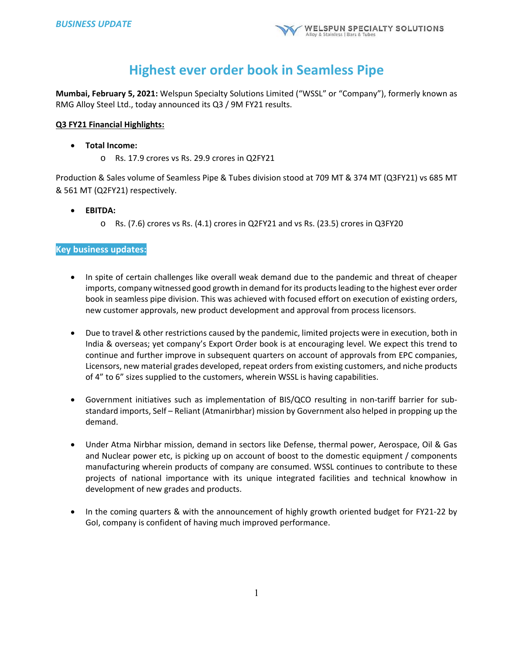# **Highest ever order book in Seamless Pipe**

**Mumbai, February 5, 2021:** Welspun Specialty Solutions Limited ("WSSL" or "Company"), formerly known as RMG Alloy Steel Ltd., today announced its Q3 / 9M FY21 results.

## **Q3 FY21 Financial Highlights:**

- **Total Income:** 
	- o Rs. 17.9 crores vs Rs. 29.9 crores in Q2FY21

Production & Sales volume of Seamless Pipe & Tubes division stood at 709 MT & 374 MT (Q3FY21) vs 685 MT & 561 MT (Q2FY21) respectively.

- **EBITDA:**
	- o Rs. (7.6) crores vs Rs. (4.1) crores in Q2FY21 and vs Rs. (23.5) crores in Q3FY20

# **Key business updates:**

- In spite of certain challenges like overall weak demand due to the pandemic and threat of cheaper imports, company witnessed good growth in demand for its products leading to the highest ever order book in seamless pipe division. This was achieved with focused effort on execution of existing orders, new customer approvals, new product development and approval from process licensors.
- Due to travel & other restrictions caused by the pandemic, limited projects were in execution, both in India & overseas; yet company's Export Order book is at encouraging level. We expect this trend to continue and further improve in subsequent quarters on account of approvals from EPC companies, Licensors, new material grades developed, repeat orders from existing customers, and niche products of 4" to 6" sizes supplied to the customers, wherein WSSL is having capabilities.
- Government initiatives such as implementation of BIS/QCO resulting in non-tariff barrier for substandard imports, Self – Reliant (Atmanirbhar) mission by Government also helped in propping up the demand.
- Under Atma Nirbhar mission, demand in sectors like Defense, thermal power, Aerospace, Oil & Gas and Nuclear power etc, is picking up on account of boost to the domestic equipment / components manufacturing wherein products of company are consumed. WSSL continues to contribute to these projects of national importance with its unique integrated facilities and technical knowhow in development of new grades and products.
- In the coming quarters & with the announcement of highly growth oriented budget for FY21-22 by GoI, company is confident of having much improved performance.